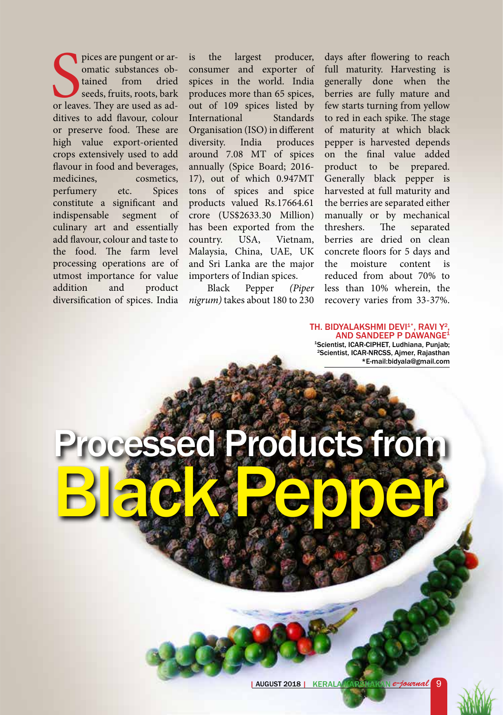pices are pungent or ar-<br>
omatic substances ob-<br>
tained from dried<br>
seeds, fruits, roots, bark<br>
or leaves. They are used as adpices are pungent or aromatic substances obtained from dried seeds, fruits, roots, bark ditives to add flavour, colour or preserve food. These are high value export-oriented crops extensively used to add flavour in food and beverages, medicines, cosmetics, perfumery etc. Spices constitute a significant and indispensable segment of culinary art and essentially add flavour, colour and taste to the food. The farm level processing operations are of utmost importance for value addition and product diversification of spices. India

is the largest producer, consumer and exporter of spices in the world. India produces more than 65 spices, out of 109 spices listed by<br>International Standards **International** Organisation (ISO) in different diversity. India produces around 7.08 MT of spices annually (Spice Board; 2016- 17), out of which 0.947MT tons of spices and spice products valued Rs.17664.61 crore (US\$2633.30 Million) has been exported from the country. USA, Vietnam, Malaysia, China, UAE, UK and Sri Lanka are the major importers of Indian spices.

Black Pepper *(Piper nigrum)* takes about 180 to 230

Processed Products from

Black Pepper

days after flowering to reach full maturity. Harvesting is generally done when the berries are fully mature and few starts turning from yellow to red in each spike. The stage of maturity at which black pepper is harvested depends on the final value added product to be prepared. Generally black pepper is harvested at full maturity and the berries are separated either manually or by mechanical threshers. The separated berries are dried on clean concrete floors for 5 days and the moisture content is reduced from about 70% to less than 10% wherein, the recovery varies from 33-37%.

TH. BIDYALAKSHMI DEVI<sup>1\*</sup>, RAVI Y<sup>2</sup>, AND SANDEEP P DAWANGE<sup>1</sup> 1Scientist, ICAR-CIPHET, Ludhiana, Punjab; 2Scientist, ICAR-NRCSS, Ajmer, Rajasthan \*E-mail:bidyala@gmail.com

| AUGUST 2018 | KERALA KARSHAKAN *e-journal* 9 | AUGUST 2018 | KERALA KARSHAKAN *e-journal* 9

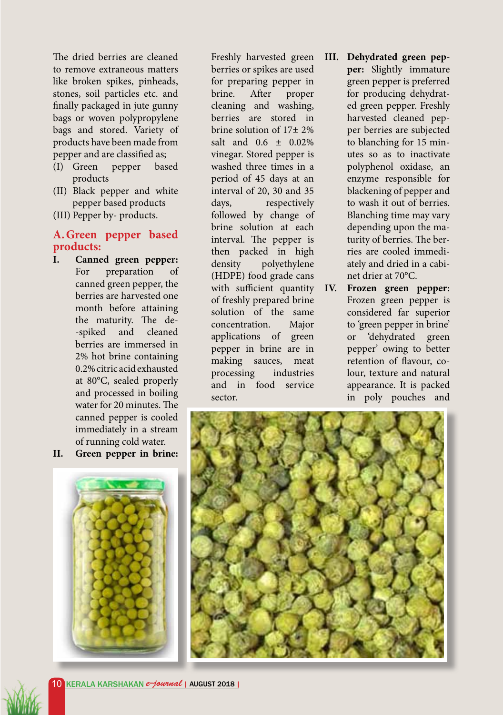The dried berries are cleaned to remove extraneous matters like broken spikes, pinheads, stones, soil particles etc. and finally packaged in jute gunny bags or woven polypropylene bags and stored. Variety of products have been made from pepper and are classified as;

- (I) Green pepper based products
- (II) Black pepper and white pepper based products
- (III) Pepper by- products.

## **A.Green pepper based products:**

- **I. Canned green pepper:**  For preparation of canned green pepper, the berries are harvested one month before attaining the maturity. The de- -spiked and cleaned berries are immersed in 2% hot brine containing 0.2% citric acid exhausted at 80°C, sealed properly and processed in boiling water for 20 minutes. The canned pepper is cooled immediately in a stream of running cold water.
- **II. Green pepper in brine:**



Freshly harvested green berries or spikes are used for preparing pepper in brine. After proper cleaning and washing, berries are stored in brine solution of 17± 2% salt and 0.6 ± 0.02% vinegar. Stored pepper is washed three times in a period of 45 days at an interval of 20, 30 and 35 days, respectively followed by change of brine solution at each interval. The pepper is then packed in high density polyethylene (HDPE) food grade cans with sufficient quantity IV. of freshly prepared brine solution of the same concentration. Major applications of green pepper in brine are in making sauces, meat processing industries and in food service sector.

- **III. Dehydrated green pepper:** Slightly immature green pepper is preferred for producing dehydrated green pepper. Freshly harvested cleaned pepper berries are subjected to blanching for 15 minutes so as to inactivate polyphenol oxidase, an enzyme responsible for blackening of pepper and to wash it out of berries. Blanching time may vary depending upon the maturity of berries. The berries are cooled immediately and dried in a cabinet drier at 70°C.
	- **Frozen green pepper:** Frozen green pepper is considered far superior to 'green pepper in brine' or 'dehydrated green pepper' owing to better retention of flavour, colour, texture and natural appearance. It is packed in poly pouches and



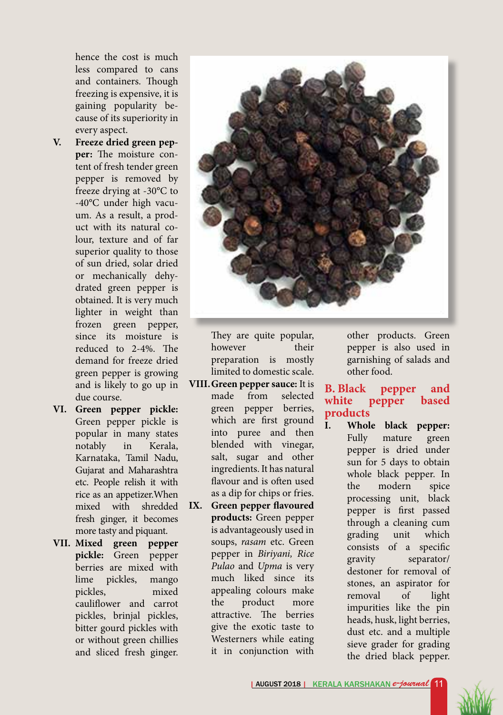hence the cost is much less compared to cans and containers. Though freezing is expensive, it is gaining popularity because of its superiority in every aspect.

- **V. Freeze dried green pepper:** The moisture content of fresh tender green pepper is removed by freeze drying at -30°C to -40°C under high vacuum. As a result, a product with its natural colour, texture and of far superior quality to those of sun dried, solar dried or mechanically dehydrated green pepper is obtained. It is very much lighter in weight than frozen green pepper, since its moisture is reduced to 2-4%. The demand for freeze dried green pepper is growing and is likely to go up in due course.
- **VI. Green pepper pickle:**  Green pepper pickle is popular in many states notably in Kerala, Karnataka, Tamil Nadu, Gujarat and Maharashtra etc. People relish it with rice as an appetizer.When mixed with shredded fresh ginger, it becomes more tasty and piquant.
- **VII. Mixed green pepper pickle:** Green pepper berries are mixed with lime pickles, mango pickles, mixed cauliflower and carrot pickles, brinjal pickles, bitter gourd pickles with or without green chillies and sliced fresh ginger.



They are quite popular, however their preparation is mostly limited to domestic scale.

- **VIII.Green pepper sauce:** It is made from selected green pepper berries, which are first ground into puree and then blended with vinegar, salt, sugar and other ingredients. It has natural flavour and is often used as a dip for chips or fries.
- **IX. Green pepper flavoured products:** Green pepper is advantageously used in soups, *rasam* etc. Green pepper in *Biriyani, Rice Pulao* and *Upma* is very much liked since its appealing colours make the product more attractive. The berries give the exotic taste to Westerners while eating it in conjunction with

other products. Green pepper is also used in garnishing of salads and other food.

## **B. Black pepper and white pepper based products**

**I. Whole black pepper:**  Fully mature green pepper is dried under sun for 5 days to obtain whole black pepper. In the modern spice processing unit, black pepper is first passed through a cleaning cum grading unit which consists of a specific gravity separator/ destoner for removal of stones, an aspirator for removal of light impurities like the pin heads, husk, light berries, dust etc. and a multiple sieve grader for grading the dried black pepper.

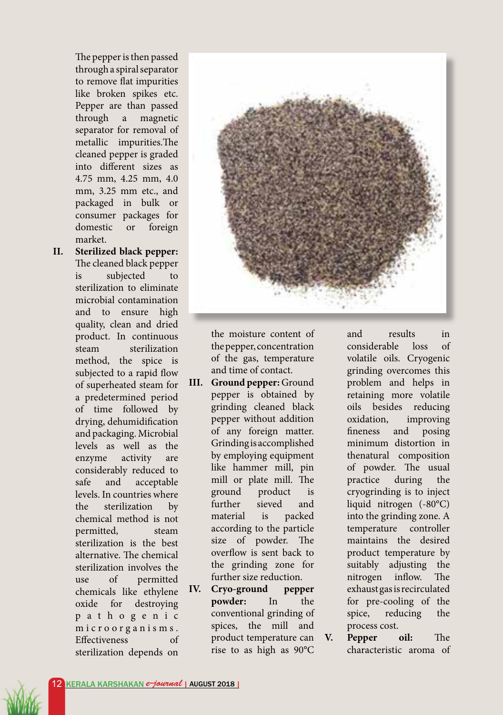The pepper is then passed through a spiral separator to remove flat impurities like broken spikes etc. Pepper are than passed through a magnetic separator for removal of metallic impurities.The cleaned pepper is graded into different sizes as 4.75 mm, 4.25 mm, 4.0 mm, 3.25 mm etc., and packaged in bulk or consumer packages for domestic or foreign market.

**II. Sterilized black pepper:**  The cleaned black pepper is subjected to sterilization to eliminate microbial contamination and to ensure high quality, clean and dried product. In continuous steam sterilization method, the spice is subjected to a rapid flow of superheated steam for a predetermined period of time followed by drying, dehumidification and packaging. Microbial levels as well as the enzyme activity are considerably reduced to safe and acceptable levels. In countries where the sterilization by chemical method is not permitted, steam sterilization is the best alternative. The chemical sterilization involves the use of permitted chemicals like ethylene oxide for destroying p a t h o g e n i c m i c r o o r g a n i s m s . Effectiveness of sterilization depends on



the moisture content of the pepper, concentration of the gas, temperature and time of contact.

- **III. Ground pepper:** Ground pepper is obtained by grinding cleaned black pepper without addition of any foreign matter. Grinding is accomplished by employing equipment like hammer mill, pin mill or plate mill. The ground product is further sieved and material is packed according to the particle size of powder. The overflow is sent back to the grinding zone for further size reduction.
- **IV. Cryo-ground pepper powder:** In the conventional grinding of spices, the mill and product temperature can rise to as high as 90°C

and results in considerable loss of volatile oils. Cryogenic grinding overcomes this problem and helps in retaining more volatile oils besides reducing oxidation, improving fineness and posing minimum distortion in thenatural composition of powder. The usual practice during the cryogrinding is to inject liquid nitrogen (-80°C) into the grinding zone. A temperature controller maintains the desired product temperature by suitably adjusting the nitrogen inflow. The exhaust gas is recirculated for pre-cooling of the spice, reducing the process cost.

**V. Pepper oil:** The characteristic aroma of

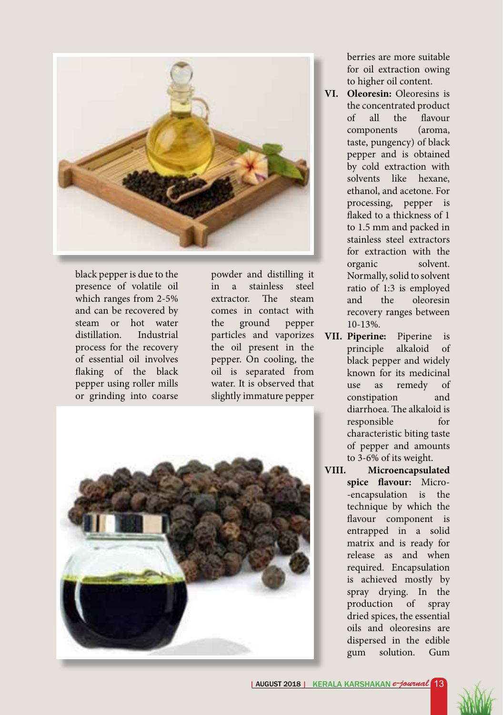

black pepper is due to the presence of volatile oil which ranges from 2-5% and can be recovered by steam or hot water distillation. Industrial process for the recovery of essential oil involves flaking of the black pepper using roller mills or grinding into coarse

powder and distilling it in a stainless steel extractor. The steam comes in contact with the ground pepper particles and vaporizes the oil present in the pepper. On cooling, the oil is separated from water. It is observed that slightly immature pepper



berries are more suitable for oil extraction owing to higher oil content.

- **VI. Oleoresin:** Oleoresins is the concentrated product of all the flavour components (aroma, taste, pungency) of black pepper and is obtained by cold extraction with solvents like hexane, ethanol, and acetone. For processing, pepper is flaked to a thickness of 1 to 1.5 mm and packed in stainless steel extractors for extraction with the organic solvent. Normally, solid to solvent ratio of 1:3 is employed and the oleoresin recovery ranges between 10-13%.
- **VII. Piperine:** Piperine is principle alkaloid of black pepper and widely known for its medicinal use as remedy of constipation and diarrhoea. The alkaloid is responsible for characteristic biting taste of pepper and amounts to 3-6% of its weight.
- **VIII. Microencapsulated spice flavour:** Micro- -encapsulation is the technique by which the flavour component is entrapped in a solid matrix and is ready for release as and when required. Encapsulation is achieved mostly by spray drying. In the production of spray dried spices, the essential oils and oleoresins are dispersed in the edible gum solution. Gum